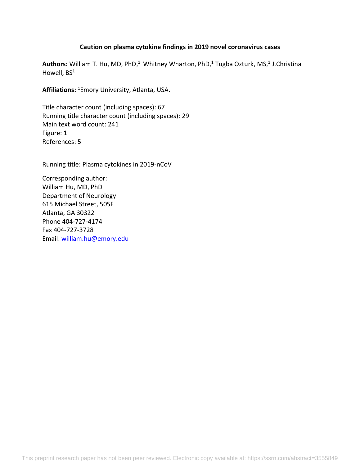## **Caution on plasma cytokine findings in 2019 novel coronavirus cases**

Authors: William T. Hu, MD, PhD,<sup>1</sup> Whitney Wharton, PhD,<sup>1</sup> Tugba Ozturk, MS,<sup>1</sup> J.Christina Howell, BS<sup>1</sup>

**Affiliations:** <sup>1</sup>Emory University, Atlanta, USA.

Title character count (including spaces): 67 Running title character count (including spaces): 29 Main text word count: 241 Figure: 1 References: 5

Running title: Plasma cytokines in 2019-nCoV

Corresponding author: William Hu, MD, PhD Department of Neurology 615 Michael Street, 505F Atlanta, GA 30322 Phone 404-727-4174 Fax 404-727-3728 Email: [william.hu@emory.edu](mailto:william.hu@emory.edu)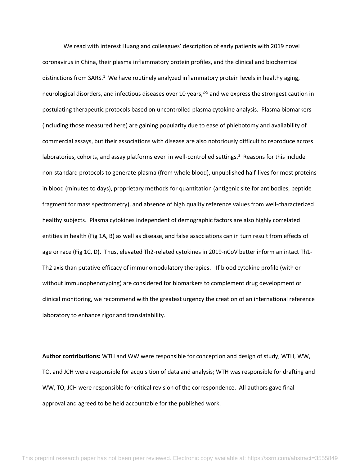We read with interest Huang and colleagues' description of early patients with 2019 novel coronavirus in China, their plasma inflammatory protein profiles, and the clinical and biochemical distinctions from SARS.<sup>1</sup> We have routinely analyzed inflammatory protein levels in healthy aging, neurological disorders, and infectious diseases over 10 years,<sup>2-5</sup> and we express the strongest caution in postulating therapeutic protocols based on uncontrolled plasma cytokine analysis. Plasma biomarkers (including those measured here) are gaining popularity due to ease of phlebotomy and availability of commercial assays, but their associations with disease are also notoriously difficult to reproduce across laboratories, cohorts, and assay platforms even in well-controlled settings.<sup>2</sup> Reasons for this include non-standard protocols to generate plasma (from whole blood), unpublished half-lives for most proteins in blood (minutes to days), proprietary methods for quantitation (antigenic site for antibodies, peptide fragment for mass spectrometry), and absence of high quality reference values from well-characterized healthy subjects. Plasma cytokines independent of demographic factors are also highly correlated entities in health (Fig 1A, B) as well as disease, and false associations can in turn result from effects of age or race (Fig 1C, D). Thus, elevated Th2-related cytokines in 2019-nCoV better inform an intact Th1- Th2 axis than putative efficacy of immunomodulatory therapies.<sup>1</sup> If blood cytokine profile (with or without immunophenotyping) are considered for biomarkers to complement drug development or clinical monitoring, we recommend with the greatest urgency the creation of an international reference laboratory to enhance rigor and translatability.

**Author contributions:** WTH and WW were responsible for conception and design of study; WTH, WW, TO, and JCH were responsible for acquisition of data and analysis; WTH was responsible for drafting and WW, TO, JCH were responsible for critical revision of the correspondence. All authors gave final approval and agreed to be held accountable for the published work.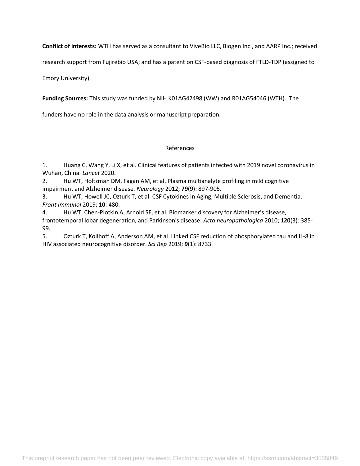**Conflict of interests:** WTH has served as a consultant to ViveBio LLC, Biogen Inc., and AARP Inc.; received

research support from Fujirebio USA; and has a patent on CSF-based diagnosis of FTLD-TDP (assigned to

Emory University).

**Funding Sources:** This study was funded by NIH K01AG42498 (WW) and R01AG54046 (WTH). The

funders have no role in the data analysis or manuscript preparation.

## References

1. Huang C, Wang Y, Li X, et al. Clinical features of patients infected with 2019 novel coronavirus in Wuhan, China. *Lancet* 2020.

2. Hu WT, Holtzman DM, Fagan AM, et al. Plasma multianalyte profiling in mild cognitive impairment and Alzheimer disease. *Neurology* 2012; **79**(9): 897-905.

3. Hu WT, Howell JC, Ozturk T, et al. CSF Cytokines in Aging, Multiple Sclerosis, and Dementia. *Front Immunol* 2019; **10**: 480.

4. Hu WT, Chen-Plotkin A, Arnold SE, et al. Biomarker discovery for Alzheimer's disease, frontotemporal lobar degeneration, and Parkinson's disease. *Acta neuropathologica* 2010; **120**(3): 385- 99.

5. Ozturk T, Kollhoff A, Anderson AM, et al. Linked CSF reduction of phosphorylated tau and IL-8 in HIV associated neurocognitive disorder. *Sci Rep* 2019; **9**(1): 8733.